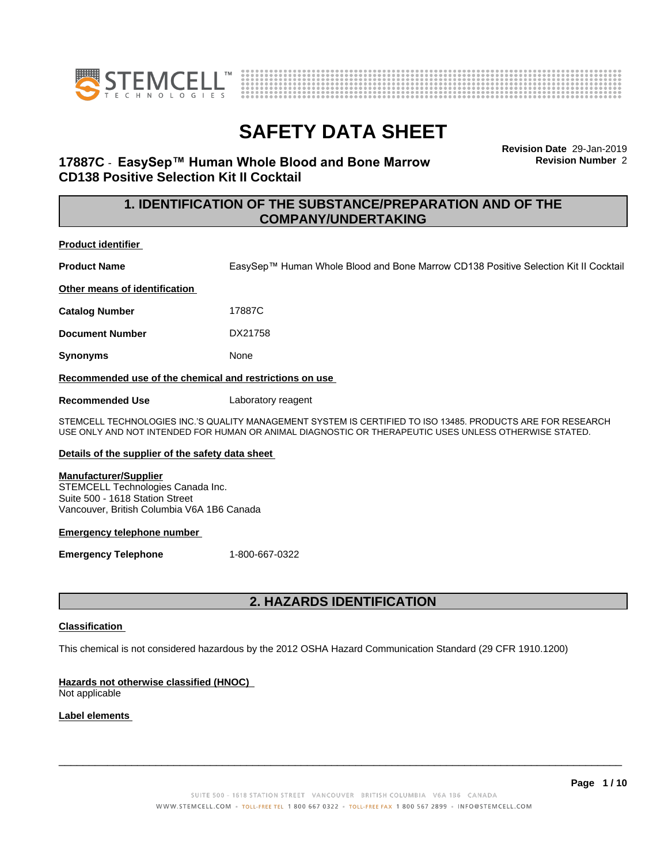



**Revision Date** 29-Jan-2019 **Revision Number** 2

# **17887C** - **EasySep™ HumanWholeBloodandBoneMarrow CD138 Positive Selection Kit II Cocktail**

# **1. IDENTIFICATION OF THE SUBSTANCE/PREPARATION AND OF THE COMPANY/UNDERTAKING**

### **Product identifier**

**Product Name** EasySep™ Human Whole Blood and Bone Marrow CD138 Positive Selection Kit II Cocktail

**Other means of identification**

**Catalog Number** 17887C

**Document Number** DX21758

**Synonyms** None

**Recommended use of the chemical and restrictions on use**

**Recommended Use** Laboratory reagent

STEMCELL TECHNOLOGIES INC.'S QUALITY MANAGEMENT SYSTEM IS CERTIFIED TO ISO 13485. PRODUCTS ARE FOR RESEARCH USE ONLY AND NOT INTENDED FOR HUMAN OR ANIMAL DIAGNOSTIC OR THERAPEUTIC USES UNLESS OTHERWISE STATED.

### **Details of the supplier of the safety data sheet**

### **Manufacturer/Supplier**

STEMCELL Technologies Canada Inc. Suite 500 - 1618 Station Street Vancouver, British Columbia V6A 1B6 Canada

### **Emergency telephone number**

**Emergency Telephone** 1-800-667-0322

# **2. HAZARDS IDENTIFICATION**

### **Classification**

This chemical is not considered hazardous by the 2012 OSHA Hazard Communication Standard (29 CFR 1910.1200)

## **Hazards not otherwise classified (HNOC)**

Not applicable

## **Label elements**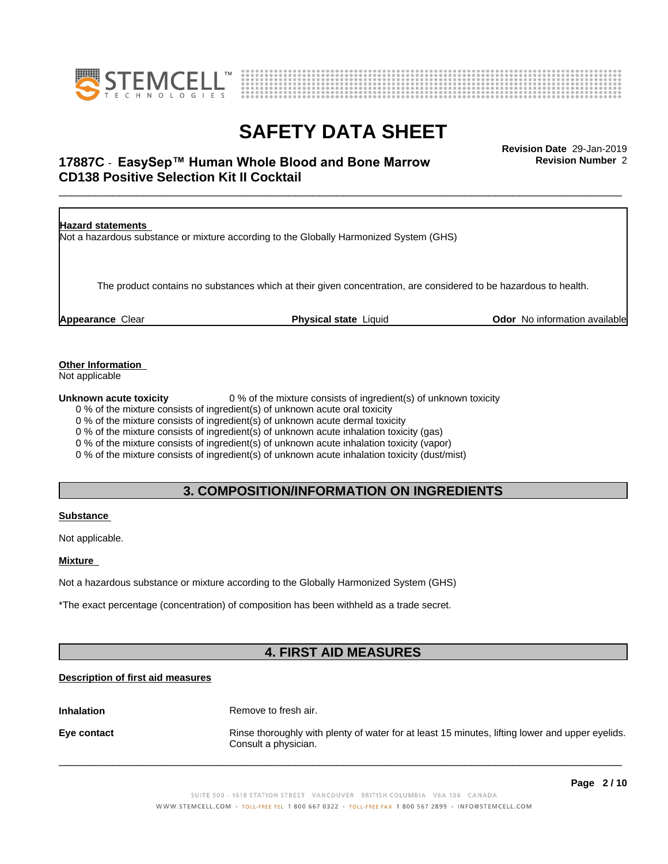



# \_\_\_\_\_\_\_\_\_\_\_\_\_\_\_\_\_\_\_\_\_\_\_\_\_\_\_\_\_\_\_\_\_\_\_\_\_\_\_\_\_\_\_\_\_\_\_\_\_\_\_\_\_\_\_\_\_\_\_\_\_\_\_\_\_\_\_\_\_\_\_\_\_\_\_\_\_\_\_\_\_\_\_\_\_\_\_\_\_\_\_\_\_ **Revision Date** 29-Jan-2019 **17887C ⋅ EasySep™ Human Whole Blood and Bone Marrow The Marrow Revision Number 2 CD138 Positive Selection Kit II Cocktail**

**Hazard statements** Not a hazardous substance or mixture according to the Globally Harmonized System (GHS) The product contains no substances which at their given concentration, are considered to be hazardous to health. **Appearance** Clear **Physical state** Liquid **Odor** No information available

**Other Information**

Not applicable

**Unknown acute toxicity** 0 % of the mixture consists of ingredient(s) of unknown toxicity

0 % of the mixture consists of ingredient(s) of unknown acute oral toxicity

0 % of the mixture consists of ingredient(s) of unknown acute dermal toxicity

0 % of the mixture consists of ingredient(s) of unknown acute inhalation toxicity (gas)

0 % of the mixture consists of ingredient(s) of unknown acute inhalation toxicity (vapor)

0 % of the mixture consists of ingredient(s) of unknown acute inhalation toxicity (dust/mist)

## **3. COMPOSITION/INFORMATION ON INGREDIENTS**

### **Substance**

Not applicable.

### **Mixture**

Not a hazardous substance or mixture according to the Globally Harmonized System (GHS)

\*The exact percentage (concentration) of composition has been withheld as a trade secret.

# **4. FIRST AID MEASURES**

## **Description of first aid measures**

**Inhalation** Remove to fresh air.

**Eye contact Rinse thoroughly with plenty of water for at least 15 minutes, lifting lower and upper eyelids.** Consult a physician.

 $\overline{\phantom{a}}$  ,  $\overline{\phantom{a}}$  ,  $\overline{\phantom{a}}$  ,  $\overline{\phantom{a}}$  ,  $\overline{\phantom{a}}$  ,  $\overline{\phantom{a}}$  ,  $\overline{\phantom{a}}$  ,  $\overline{\phantom{a}}$  ,  $\overline{\phantom{a}}$  ,  $\overline{\phantom{a}}$  ,  $\overline{\phantom{a}}$  ,  $\overline{\phantom{a}}$  ,  $\overline{\phantom{a}}$  ,  $\overline{\phantom{a}}$  ,  $\overline{\phantom{a}}$  ,  $\overline{\phantom{a}}$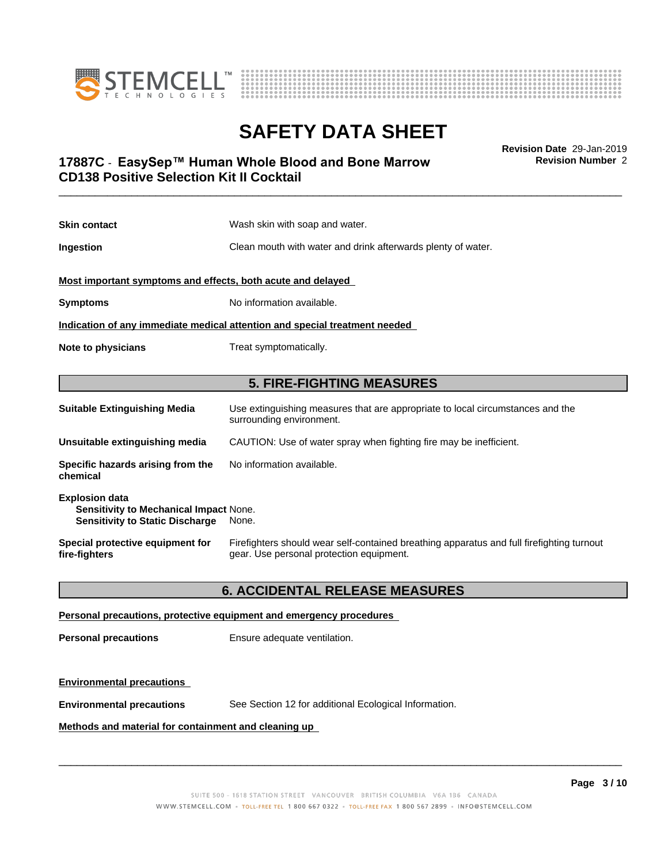



**Revision Number** 2

# \_\_\_\_\_\_\_\_\_\_\_\_\_\_\_\_\_\_\_\_\_\_\_\_\_\_\_\_\_\_\_\_\_\_\_\_\_\_\_\_\_\_\_\_\_\_\_\_\_\_\_\_\_\_\_\_\_\_\_\_\_\_\_\_\_\_\_\_\_\_\_\_\_\_\_\_\_\_\_\_\_\_\_\_\_\_\_\_\_\_\_\_\_ **Revision Date** 29-Jan-2019 **17887C ⋅ EasySep™ Human Whole Blood and Bone Marrow The Marrow Revision Number 2 CD138 Positive Selection Kit II Cocktail**

| <b>Skin contact</b>                                                        | Wash skin with soap and water.                                                                             |  |
|----------------------------------------------------------------------------|------------------------------------------------------------------------------------------------------------|--|
| Ingestion                                                                  | Clean mouth with water and drink afterwards plenty of water.                                               |  |
| Most important symptoms and effects, both acute and delayed                |                                                                                                            |  |
| <b>Symptoms</b>                                                            | No information available.                                                                                  |  |
| Indication of any immediate medical attention and special treatment needed |                                                                                                            |  |
| Treat symptomatically.<br>Note to physicians                               |                                                                                                            |  |
|                                                                            |                                                                                                            |  |
| <b>5. FIRE-FIGHTING MEASURES</b>                                           |                                                                                                            |  |
| <b>Suitable Extinguishing Media</b>                                        | Use extinguishing measures that are appropriate to local circumstances and the<br>surrounding environment. |  |
| Unsuitable extinguishing media                                             | CAUTION: Use of water spray when fighting fire may be inefficient.                                         |  |
| Specific hazards arising from the                                          | No information available.                                                                                  |  |
| chemical                                                                   |                                                                                                            |  |

| Special protective equipment for | Firefighters should wear self-contained breathing apparatus and full firefighting turnout |
|----------------------------------|-------------------------------------------------------------------------------------------|
| fire-fighters                    | gear. Use personal protection equipment.                                                  |

## **6. ACCIDENTAL RELEASE MEASURES**

### **Personal precautions, protective equipment and emergency procedures**

**Personal precautions** Ensure adequate ventilation.

### **Environmental precautions**

**Environmental precautions** See Section 12 for additional Ecological Information.

## **Methods and material for containment and cleaning up**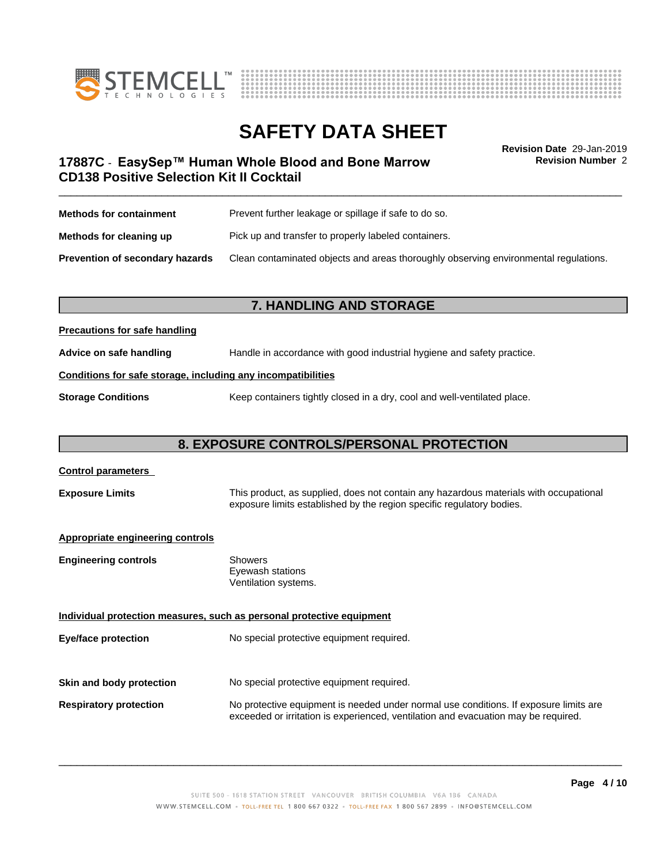



# **SAFETY DATA SHEET**<br>Revision Date 29-Jan-2019

**Revision Number** 2

# \_\_\_\_\_\_\_\_\_\_\_\_\_\_\_\_\_\_\_\_\_\_\_\_\_\_\_\_\_\_\_\_\_\_\_\_\_\_\_\_\_\_\_\_\_\_\_\_\_\_\_\_\_\_\_\_\_\_\_\_\_\_\_\_\_\_\_\_\_\_\_\_\_\_\_\_\_\_\_\_\_\_\_\_\_\_\_\_\_\_\_\_\_ **Revision Date** 29-Jan-2019 **17887C ⋅ EasySep™ Human Whole Blood and Bone Marrow The Marrow Revision Number 2 CD138 Positive Selection Kit II Cocktail**

| <b>Methods for containment</b>         | Prevent further leakage or spillage if safe to do so.                                |  |
|----------------------------------------|--------------------------------------------------------------------------------------|--|
| Methods for cleaning up                | Pick up and transfer to properly labeled containers.                                 |  |
| <b>Prevention of secondary hazards</b> | Clean contaminated objects and areas thoroughly observing environmental regulations. |  |

## **7. HANDLING AND STORAGE**

### **Precautions for safe handling**

**Advice on safe handling** Handle in accordance with good industrial hygiene and safety practice.

### **Conditions for safe storage, including any incompatibilities**

**Storage Conditions** Keep containers tightly closed in a dry, cool and well-ventilated place.

# **8. EXPOSURE CONTROLS/PERSONAL PROTECTION**

# **Control parameters Exposure Limits** This product, as supplied, does not contain any hazardous materials with occupational exposure limits established by the region specific regulatory bodies. **Appropriate engineering controls Engineering controls** Showers Eyewash stations Ventilation systems. **Individual protection measures, such as personal protective equipment Eye/face protection** No special protective equipment required. **Skin and body protection** No special protective equipment required. **Respiratory protection** No protective equipment is needed under normal use conditions. If exposure limits are exceeded or irritation is experienced, ventilation and evacuation may be required.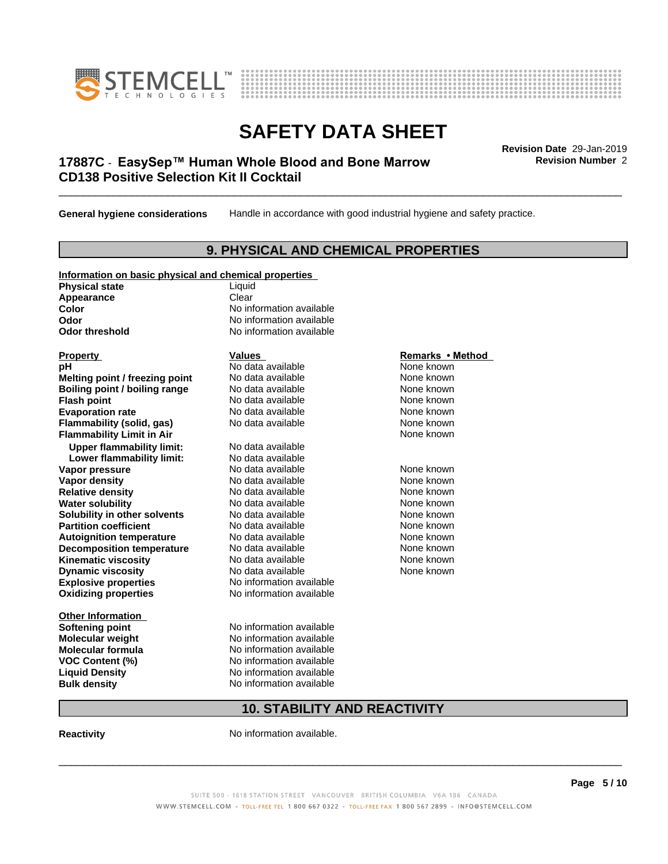



# \_\_\_\_\_\_\_\_\_\_\_\_\_\_\_\_\_\_\_\_\_\_\_\_\_\_\_\_\_\_\_\_\_\_\_\_\_\_\_\_\_\_\_\_\_\_\_\_\_\_\_\_\_\_\_\_\_\_\_\_\_\_\_\_\_\_\_\_\_\_\_\_\_\_\_\_\_\_\_\_\_\_\_\_\_\_\_\_\_\_\_\_\_ **Revision Date** 29-Jan-2019 **17887C ⋅ EasySep™ Human Whole Blood and Bone Marrow The Marrow Revision Number 2 CD138 Positive Selection Kit II Cocktail**

**General hygiene considerations** Handle in accordance with good industrial hygiene and safety practice.

## **9. PHYSICAL AND CHEMICAL PROPERTIES**

| Information on basic physical and chemical properties |
|-------------------------------------------------------|
|-------------------------------------------------------|

**Physical state** Liquid **Appearance** Clear<br> **Color** No int

**Explosive properties**<br> **Oxidizing properties**<br>
No information available **Oxidizing properties Property Remarks •Method Property Remarks •Method pH** No data available None known<br> **Melting point / freezing point** No data available None known **Melting point / freezing point** No data available None known<br> **Boiling point / boiling range** No data available None known **Boiling point / boiling range Flash point No data available None known Evaporation rate** *rate* No data available **None known Flammability (solid, gas)** No data available None known **Flammability Limit in Air None known None known Upper flammability limit:** No data available **Lower flammability limit:** No data available **Vapor pressure No data available None known Vapor density**<br> **Relative density**<br>
No data available None Known<br>
None known **Relative density No data available and the Shown None known**<br> **Water solubility No data available None known None known Water solubility Solubility in other solvents** No data available **None known**<br> **Partition coefficient** No data available **None known**<br>
None known **Partition coefficient**<br> **Autoignition temperature**<br>
No data available **Autoignition temperature No data available None known**<br> **Decomposition temperature** No data available **None known**<br>
None known **Decomposition temperature** No data available<br> **Kinematic viscosity** No data available **Kinematic viscosity No data available None known**<br> **Notata available None known**<br>
Notata available **None known Dynamic viscosity No data available None known** 

**Other Information VOC** Content (%)

**No information available Odor** No information available **Odor threshold** No information available

**Softening point** No information available **Molecular weight** No information available **Molecular formula No information available**<br>**VOC Content (%)** No information available **Liquid Density** No information available **Bulk density** No information available

# **10. STABILITY AND REACTIVITY**

**Reactivity No information available.** 

 $\overline{\phantom{a}}$  ,  $\overline{\phantom{a}}$  ,  $\overline{\phantom{a}}$  ,  $\overline{\phantom{a}}$  ,  $\overline{\phantom{a}}$  ,  $\overline{\phantom{a}}$  ,  $\overline{\phantom{a}}$  ,  $\overline{\phantom{a}}$  ,  $\overline{\phantom{a}}$  ,  $\overline{\phantom{a}}$  ,  $\overline{\phantom{a}}$  ,  $\overline{\phantom{a}}$  ,  $\overline{\phantom{a}}$  ,  $\overline{\phantom{a}}$  ,  $\overline{\phantom{a}}$  ,  $\overline{\phantom{a}}$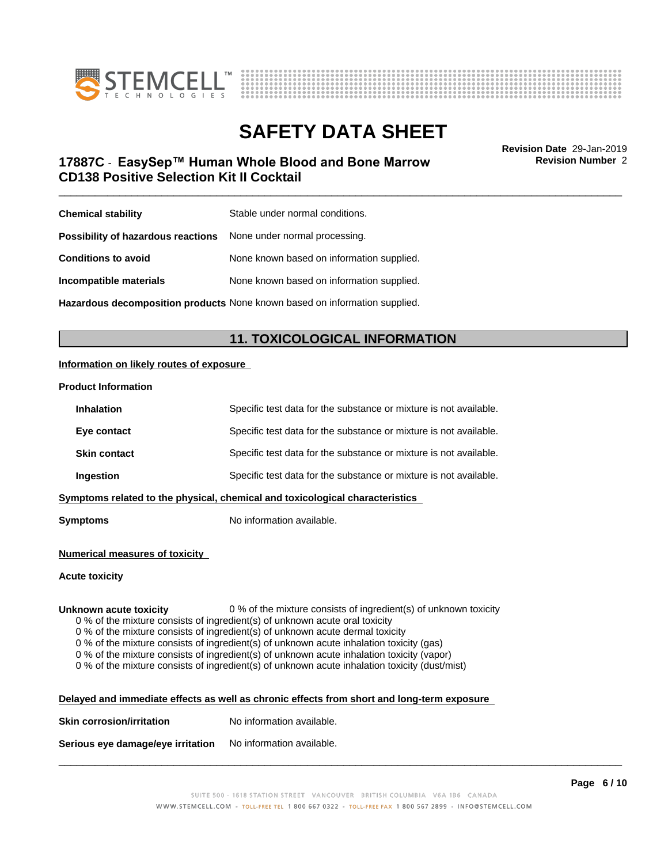



\_\_\_\_\_\_\_\_\_\_\_\_\_\_\_\_\_\_\_\_\_\_\_\_\_\_\_\_\_\_\_\_\_\_\_\_\_\_\_\_\_\_\_\_\_\_\_\_\_\_\_\_\_\_\_\_\_\_\_\_\_\_\_\_\_\_\_\_\_\_\_\_\_\_\_\_\_\_\_\_\_\_\_\_\_\_\_\_\_\_\_\_\_ **Revision Date** 29-Jan-2019 **17887C ⋅ EasySep™ Human Whole Blood and Bone Marrow The Marrow Revision Number 2 CD138 Positive Selection Kit II Cocktail**

**Revision Number** 2

| <b>Chemical stability</b>                                               | Stable under normal conditions.           |
|-------------------------------------------------------------------------|-------------------------------------------|
| <b>Possibility of hazardous reactions</b> None under normal processing. |                                           |
| <b>Conditions to avoid</b>                                              | None known based on information supplied. |
| Incompatible materials                                                  | None known based on information supplied. |
|                                                                         |                                           |

**Hazardous decomposition products** None known based on information supplied.

# **11. TOXICOLOGICAL INFORMATION**

### **Information on likely routes of exposure**

### **Product Information**

| Specific test data for the substance or mixture is not available.            |  |  |
|------------------------------------------------------------------------------|--|--|
| Specific test data for the substance or mixture is not available.            |  |  |
| Specific test data for the substance or mixture is not available.            |  |  |
| Specific test data for the substance or mixture is not available.            |  |  |
| Symptoms related to the physical, chemical and toxicological characteristics |  |  |
|                                                                              |  |  |

**Symptoms** No information available.

### **Numerical measures of toxicity**

### **Acute toxicity**

**Unknown acute toxicity** 0 % of the mixture consists of ingredient(s) of unknown toxicity

0 % of the mixture consists of ingredient(s) of unknown acute oral toxicity

 $0$  % of the mixture consists of ingredient(s) of unknown acute dermal toxicity

0 % of the mixture consists of ingredient(s) of unknown acute inhalation toxicity (gas)

0 % of the mixture consists of ingredient(s) of unknown acute inhalation toxicity (vapor)

0 % of the mixture consists of ingredient(s) of unknown acute inhalation toxicity (dust/mist)

| Delayed and immediate effects as well as chronic effects from short and long-term exposure |  |
|--------------------------------------------------------------------------------------------|--|
|                                                                                            |  |

| <b>Skin corrosion/irritation</b> | No information available. |
|----------------------------------|---------------------------|
|                                  |                           |

**Serious eye damage/eye irritation** No information available.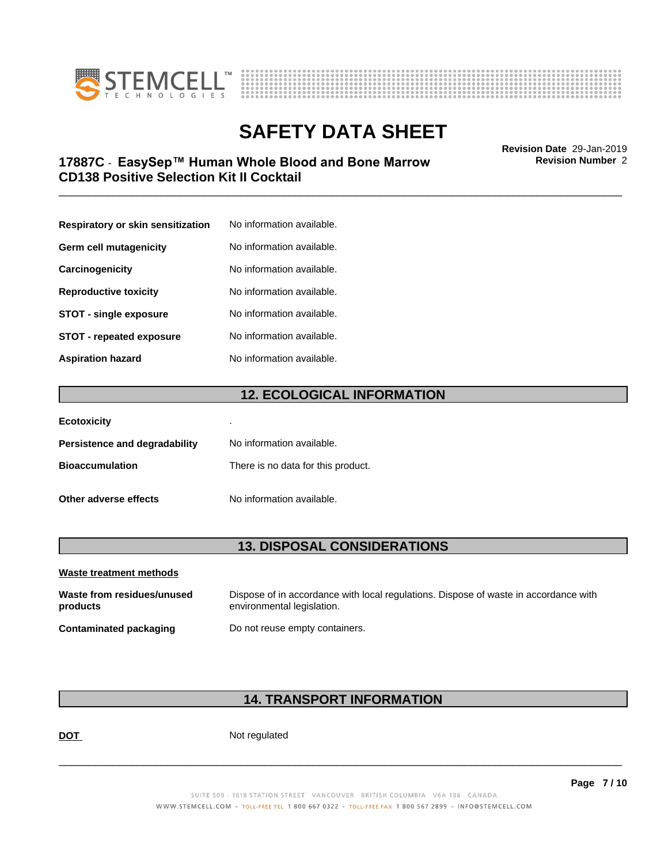



# \_\_\_\_\_\_\_\_\_\_\_\_\_\_\_\_\_\_\_\_\_\_\_\_\_\_\_\_\_\_\_\_\_\_\_\_\_\_\_\_\_\_\_\_\_\_\_\_\_\_\_\_\_\_\_\_\_\_\_\_\_\_\_\_\_\_\_\_\_\_\_\_\_\_\_\_\_\_\_\_\_\_\_\_\_\_\_\_\_\_\_\_\_ **Revision Date** 29-Jan-2019 **17887C ⋅ EasySep™ Human Whole Blood and Bone Marrow The Marrow Revision Number 2 CD138 Positive Selection Kit II Cocktail**

**Respiratory or skin sensitization** No information available. **Germ cell mutagenicity** No information available. **Carcinogenicity** No information available. **Reproductive toxicity** No information available. **STOT** - **single exposure** No information available. **STOT** - **repeated exposure** No information available. **Aspiration hazard** No information available.

# **12. ECOLOGICAL INFORMATION**

| <b>Ecotoxicity</b>            | ٠                                  |
|-------------------------------|------------------------------------|
| Persistence and degradability | No information available.          |
| <b>Bioaccumulation</b>        | There is no data for this product. |
| Other adverse effects         | No information available.          |

## **13. DISPOSAL CONSIDERATIONS**

| Waste treatment methods                |                                                                                                                    |
|----------------------------------------|--------------------------------------------------------------------------------------------------------------------|
| Waste from residues/unused<br>products | Dispose of in accordance with local regulations. Dispose of waste in accordance with<br>environmental legislation. |
| Contaminated packaging                 | Do not reuse empty containers.                                                                                     |

# **14. TRANSPORT INFORMATION**

**DOT** Not regulated

 $\overline{\phantom{a}}$  ,  $\overline{\phantom{a}}$  ,  $\overline{\phantom{a}}$  ,  $\overline{\phantom{a}}$  ,  $\overline{\phantom{a}}$  ,  $\overline{\phantom{a}}$  ,  $\overline{\phantom{a}}$  ,  $\overline{\phantom{a}}$  ,  $\overline{\phantom{a}}$  ,  $\overline{\phantom{a}}$  ,  $\overline{\phantom{a}}$  ,  $\overline{\phantom{a}}$  ,  $\overline{\phantom{a}}$  ,  $\overline{\phantom{a}}$  ,  $\overline{\phantom{a}}$  ,  $\overline{\phantom{a}}$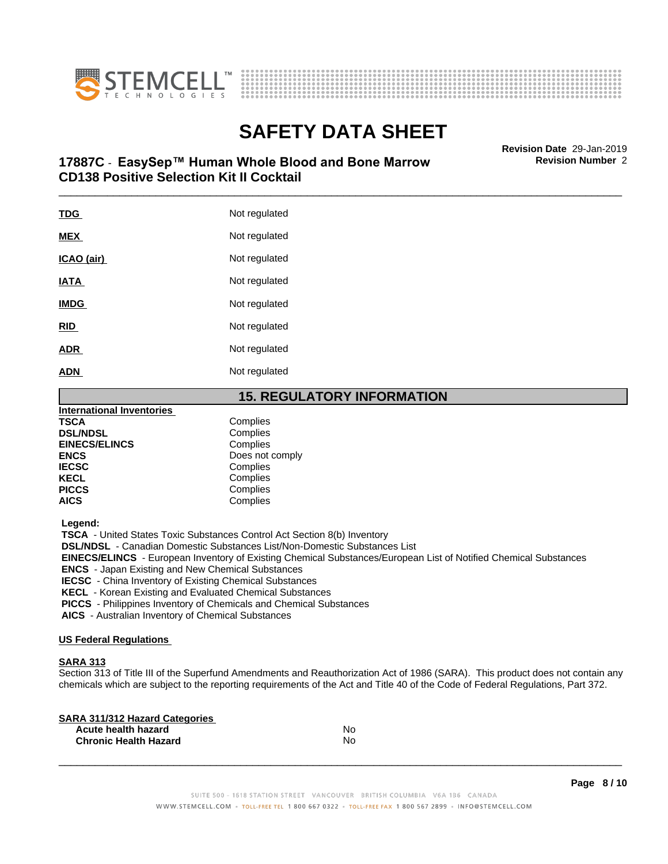



# \_\_\_\_\_\_\_\_\_\_\_\_\_\_\_\_\_\_\_\_\_\_\_\_\_\_\_\_\_\_\_\_\_\_\_\_\_\_\_\_\_\_\_\_\_\_\_\_\_\_\_\_\_\_\_\_\_\_\_\_\_\_\_\_\_\_\_\_\_\_\_\_\_\_\_\_\_\_\_\_\_\_\_\_\_\_\_\_\_\_\_\_\_ **Revision Date** 29-Jan-2019 **17887C ⋅ EasySep™ Human Whole Blood and Bone Marrow The Marrow Revision Number 2 CD138 Positive Selection Kit II Cocktail**

| <b>TDG</b>  | Not regulated |
|-------------|---------------|
| <b>MEX</b>  | Not regulated |
| ICAO (air)  | Not regulated |
| <b>IATA</b> | Not regulated |
| <b>IMDG</b> | Not regulated |
| <b>RID</b>  | Not regulated |
| <b>ADR</b>  | Not regulated |
| <b>ADN</b>  | Not regulated |
|             |               |

# **15. REGULATORY INFORMATION**

| <b>International Inventories</b> |                 |
|----------------------------------|-----------------|
| <b>TSCA</b>                      | Complies        |
| <b>DSL/NDSL</b>                  | Complies        |
| <b>EINECS/ELINCS</b>             | Complies        |
| <b>ENCS</b>                      | Does not comply |
| <b>IECSC</b>                     | Complies        |
| <b>KECL</b>                      | Complies        |
| <b>PICCS</b>                     | Complies        |
| <b>AICS</b>                      | Complies        |
|                                  |                 |

 **Legend:**

 **TSCA** - United States Toxic Substances Control Act Section 8(b) Inventory

 **DSL/NDSL** - Canadian Domestic Substances List/Non-Domestic Substances List

 **EINECS/ELINCS** - European Inventory of Existing Chemical Substances/European List of Notified Chemical Substances

 **ENCS** - Japan Existing and New Chemical Substances

 **IECSC** - China Inventory of Existing Chemical Substances

 **KECL** - Korean Existing and Evaluated Chemical Substances

 **PICCS** - Philippines Inventory of Chemicals and Chemical Substances

 **AICS** - Australian Inventory of Chemical Substances

### **US Federal Regulations**

## **SARA 313**

Section 313 of Title III of the Superfund Amendments and Reauthorization Act of 1986 (SARA). This product does not contain any chemicals which are subject to the reporting requirements of the Act and Title 40 of the Code of Federal Regulations, Part 372.

| No |  |
|----|--|
| No |  |
|    |  |

 $\overline{\phantom{a}}$  ,  $\overline{\phantom{a}}$  ,  $\overline{\phantom{a}}$  ,  $\overline{\phantom{a}}$  ,  $\overline{\phantom{a}}$  ,  $\overline{\phantom{a}}$  ,  $\overline{\phantom{a}}$  ,  $\overline{\phantom{a}}$  ,  $\overline{\phantom{a}}$  ,  $\overline{\phantom{a}}$  ,  $\overline{\phantom{a}}$  ,  $\overline{\phantom{a}}$  ,  $\overline{\phantom{a}}$  ,  $\overline{\phantom{a}}$  ,  $\overline{\phantom{a}}$  ,  $\overline{\phantom{a}}$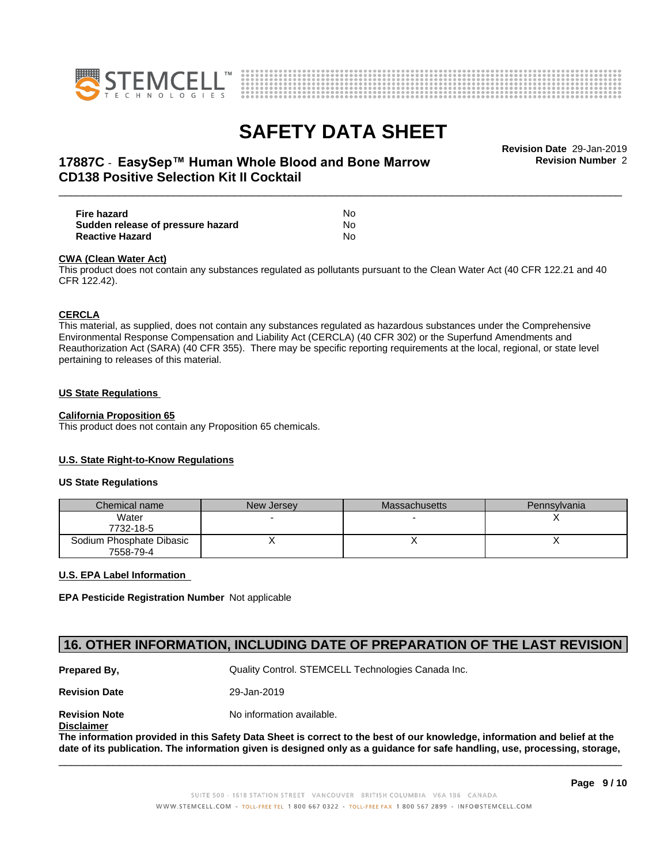



**Revision Number** 2

# \_\_\_\_\_\_\_\_\_\_\_\_\_\_\_\_\_\_\_\_\_\_\_\_\_\_\_\_\_\_\_\_\_\_\_\_\_\_\_\_\_\_\_\_\_\_\_\_\_\_\_\_\_\_\_\_\_\_\_\_\_\_\_\_\_\_\_\_\_\_\_\_\_\_\_\_\_\_\_\_\_\_\_\_\_\_\_\_\_\_\_\_\_ **Revision Date** 29-Jan-2019 **17887C ⋅ EasySep™ Human Whole Blood and Bone Marrow The Marrow Revision Number 2 CD138 Positive Selection Kit II Cocktail**

| Fire hazard                       | No  |  |
|-----------------------------------|-----|--|
| Sudden release of pressure hazard | No  |  |
| <b>Reactive Hazard</b>            | No. |  |

### **CWA** (Clean Water Act)

This product does not contain any substances regulated as pollutants pursuant to the Clean Water Act (40 CFR 122.21 and 40 CFR 122.42).

### **CERCLA**

This material, as supplied, does not contain any substances regulated as hazardous substances under the Comprehensive Environmental Response Compensation and Liability Act (CERCLA) (40 CFR 302) or the Superfund Amendments and Reauthorization Act (SARA) (40 CFR 355). There may be specific reporting requirements at the local, regional, or state level pertaining to releases of this material.

### **US State Regulations**

### **California Proposition 65**

This product does not contain any Proposition 65 chemicals.

### **U.S. State Right-to-Know Regulations**

### **US State Regulations**

| Chemical name                         | New Jersey | <b>Massachusetts</b> | <b>Pennsylvania</b> |
|---------------------------------------|------------|----------------------|---------------------|
| Water<br>7732-18-5                    |            |                      |                     |
| Sodium Phosphate Dibasic<br>7558-79-4 |            |                      |                     |

### **U.S. EPA Label Information**

**EPA Pesticide Registration Number** Notapplicable

## **16. OTHER INFORMATION, INCLUDING DATE OF PREPARATION OF THE LAST REVISION**

**Prepared By, State Control. STEMCELL Technologies Canada Inc.** Cuality Control. STEMCELL Technologies Canada Inc.

**Revision Date** 29-Jan-2019

**Revision Note** Noinformation available.

**Disclaimer**

The information provided in this Safety Data Sheet is correct to the best of our knowledge, information and belief at the date of its publication. The information given is designed only as a guidance for safe handling, use, processing, storage,